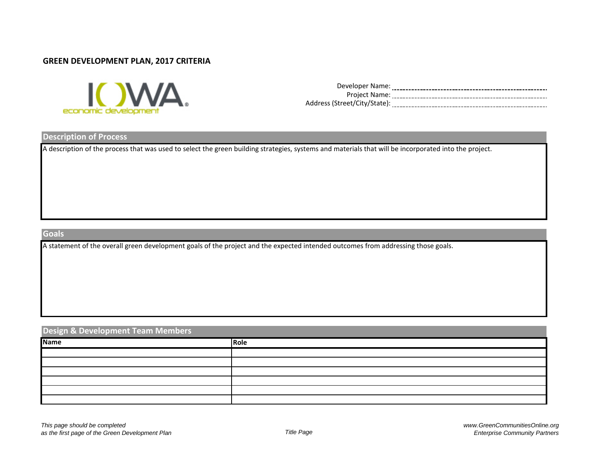#### **GREEN DEVELOPMENT PLAN, 2017 CRITERIA**



| Developer Name:              |  |
|------------------------------|--|
| Project Name:                |  |
| Address (Street/City/State): |  |

#### **Description of Process**

A description of the process that was used to select the green building strategies, systems and materials that will be incorporated into the project.

## **Goals**

A statement of the overall green development goals of the project and the expected intended outcomes from addressing those goals.

## **Design & Development Team Members**

| <b>Name</b> | Role |
|-------------|------|
|             |      |
|             |      |
|             |      |
|             |      |
|             |      |
|             |      |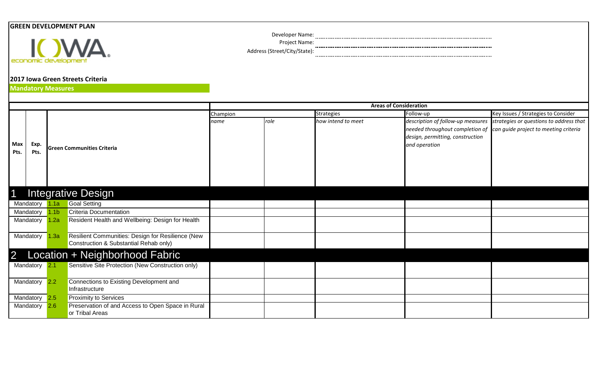# **GREEN DEVELOPMENT PLAN**



Developer Name:

Project Name:

Address (Street/City/State):

# **2017 Iowa Green Streets Criteria**

**Mandatory Measures**

|                |           |                 |                                                   | <b>Areas of Consideration</b> |      |                    |                                  |                                                                           |  |  |
|----------------|-----------|-----------------|---------------------------------------------------|-------------------------------|------|--------------------|----------------------------------|---------------------------------------------------------------------------|--|--|
|                |           |                 |                                                   | Champion                      |      | Strategies         | Follow-up                        | Key Issues / Strategies to Consider                                       |  |  |
|                |           |                 |                                                   | name                          | role | how intend to meet |                                  | description of follow-up measures strategies or questions to address that |  |  |
|                |           |                 |                                                   |                               |      |                    |                                  | needed throughout completion of can guide project to meeting criteria     |  |  |
|                |           |                 |                                                   |                               |      |                    | design, permitting, construction |                                                                           |  |  |
| Max            | Exp.      |                 | <b>Green Communities Criteria</b>                 |                               |      |                    | and operation                    |                                                                           |  |  |
| Pts.           | Pts.      |                 |                                                   |                               |      |                    |                                  |                                                                           |  |  |
|                |           |                 |                                                   |                               |      |                    |                                  |                                                                           |  |  |
|                |           |                 |                                                   |                               |      |                    |                                  |                                                                           |  |  |
|                |           |                 |                                                   |                               |      |                    |                                  |                                                                           |  |  |
|                |           |                 |                                                   |                               |      |                    |                                  |                                                                           |  |  |
|                |           |                 | <b>Integrative Design</b>                         |                               |      |                    |                                  |                                                                           |  |  |
|                |           |                 |                                                   |                               |      |                    |                                  |                                                                           |  |  |
|                | Mandatory | .1a             | <b>Goal Setting</b>                               |                               |      |                    |                                  |                                                                           |  |  |
|                | Mandatory | .1 <sub>b</sub> | <b>Criteria Documentation</b>                     |                               |      |                    |                                  |                                                                           |  |  |
|                | Mandatory | .2a             | Resident Health and Wellbeing: Design for Health  |                               |      |                    |                                  |                                                                           |  |  |
|                |           |                 |                                                   |                               |      |                    |                                  |                                                                           |  |  |
|                | Mandatory | 1.3a            | Resilient Communities: Design for Resilience (New |                               |      |                    |                                  |                                                                           |  |  |
|                |           |                 | Construction & Substantial Rehab only)            |                               |      |                    |                                  |                                                                           |  |  |
| $\overline{2}$ |           |                 | Location + Neighborhood Fabric                    |                               |      |                    |                                  |                                                                           |  |  |
|                | Mandatory | 2.1             | Sensitive Site Protection (New Construction only) |                               |      |                    |                                  |                                                                           |  |  |
|                |           |                 |                                                   |                               |      |                    |                                  |                                                                           |  |  |
|                | Mandatory | 2.2             | Connections to Existing Development and           |                               |      |                    |                                  |                                                                           |  |  |
|                |           |                 | Infrastructure                                    |                               |      |                    |                                  |                                                                           |  |  |
|                | Mandatory | 2.5             | <b>Proximity to Services</b>                      |                               |      |                    |                                  |                                                                           |  |  |
|                | Mandatory | 2.6             | Preservation of and Access to Open Space in Rural |                               |      |                    |                                  |                                                                           |  |  |
|                |           |                 | or Tribal Areas                                   |                               |      |                    |                                  |                                                                           |  |  |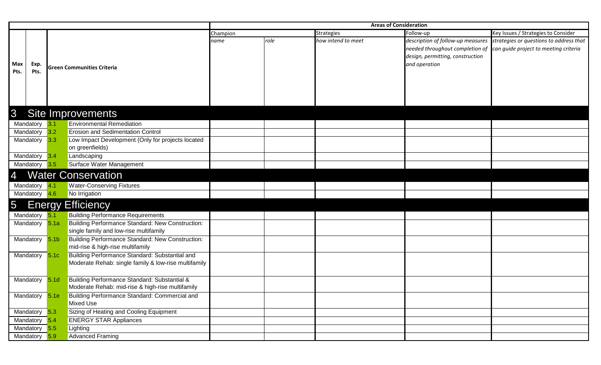|               |                           |                  |                                                      | <b>Areas of Consideration</b> |      |                    |                                   |                                                                       |  |  |
|---------------|---------------------------|------------------|------------------------------------------------------|-------------------------------|------|--------------------|-----------------------------------|-----------------------------------------------------------------------|--|--|
|               |                           |                  |                                                      | Champion                      |      | <b>Strategies</b>  | Follow-up                         | Key Issues / Strategies to Consider                                   |  |  |
|               |                           |                  |                                                      | name                          | role | how intend to meet | description of follow-up measures | strategies or questions to address that                               |  |  |
|               |                           |                  |                                                      |                               |      |                    |                                   | needed throughout completion of can guide project to meeting criteria |  |  |
|               |                           |                  |                                                      |                               |      |                    | design, permitting, construction  |                                                                       |  |  |
| <b>Max</b>    | Exp.                      |                  |                                                      |                               |      |                    | and operation                     |                                                                       |  |  |
| Pts.          | Pts.                      |                  | <b>Green Communities Criteria</b>                    |                               |      |                    |                                   |                                                                       |  |  |
|               |                           |                  |                                                      |                               |      |                    |                                   |                                                                       |  |  |
|               |                           |                  |                                                      |                               |      |                    |                                   |                                                                       |  |  |
|               |                           |                  |                                                      |                               |      |                    |                                   |                                                                       |  |  |
|               |                           |                  |                                                      |                               |      |                    |                                   |                                                                       |  |  |
| $\mathcal{S}$ |                           |                  | <b>Site Improvements</b>                             |                               |      |                    |                                   |                                                                       |  |  |
|               | Mandatory 3.1             |                  | <b>Environmental Remediation</b>                     |                               |      |                    |                                   |                                                                       |  |  |
|               | Mandatory                 | 3.2              | <b>Erosion and Sedimentation Control</b>             |                               |      |                    |                                   |                                                                       |  |  |
|               | Mandatory                 | 3.3              | Low Impact Development (Only for projects located    |                               |      |                    |                                   |                                                                       |  |  |
|               |                           |                  | on greenfields)                                      |                               |      |                    |                                   |                                                                       |  |  |
|               | Mandatory                 | 3.4              | Landscaping                                          |                               |      |                    |                                   |                                                                       |  |  |
|               | Mandatory                 | 3.5              | Surface Water Management                             |                               |      |                    |                                   |                                                                       |  |  |
| 4             | <b>Water Conservation</b> |                  |                                                      |                               |      |                    |                                   |                                                                       |  |  |
|               |                           |                  |                                                      |                               |      |                    |                                   |                                                                       |  |  |
|               | Mandatory                 | 4.1              | <b>Water-Conserving Fixtures</b>                     |                               |      |                    |                                   |                                                                       |  |  |
|               | Mandatory 4.6             |                  | No Irrigation                                        |                               |      |                    |                                   |                                                                       |  |  |
| 5             |                           |                  | <b>Energy Efficiency</b>                             |                               |      |                    |                                   |                                                                       |  |  |
|               | Mandatory                 | 5.1              | <b>Building Performance Requirements</b>             |                               |      |                    |                                   |                                                                       |  |  |
|               | Mandatory 5.1a            |                  | Building Performance Standard: New Construction:     |                               |      |                    |                                   |                                                                       |  |  |
|               |                           |                  | single family and low-rise multifamily               |                               |      |                    |                                   |                                                                       |  |  |
|               | Mandatory                 | 5.1 <sub>b</sub> | Building Performance Standard: New Construction:     |                               |      |                    |                                   |                                                                       |  |  |
|               |                           |                  | mid-rise & high-rise multifamily                     |                               |      |                    |                                   |                                                                       |  |  |
|               | Mandatory                 | 5.1c             | Building Performance Standard: Substantial and       |                               |      |                    |                                   |                                                                       |  |  |
|               |                           |                  | Moderate Rehab: single family & low-rise multifamily |                               |      |                    |                                   |                                                                       |  |  |
|               |                           |                  |                                                      |                               |      |                    |                                   |                                                                       |  |  |
|               | Mandatory                 | 5.1 <sub>d</sub> | Building Performance Standard: Substantial &         |                               |      |                    |                                   |                                                                       |  |  |
|               |                           |                  | Moderate Rehab: mid-rise & high-rise multifamily     |                               |      |                    |                                   |                                                                       |  |  |
|               | Mandatory 5.1e            |                  | Building Performance Standard: Commercial and        |                               |      |                    |                                   |                                                                       |  |  |
|               |                           |                  | Mixed Use                                            |                               |      |                    |                                   |                                                                       |  |  |
|               | Mandatory                 | 5.3              | Sizing of Heating and Cooling Equipment              |                               |      |                    |                                   |                                                                       |  |  |
|               | Mandatory                 | 5.4              | <b>ENERGY STAR Appliances</b>                        |                               |      |                    |                                   |                                                                       |  |  |
|               | Mandatory 5.5             |                  | Lighting                                             |                               |      |                    |                                   |                                                                       |  |  |
|               | Mandatory                 | 5.9              | <b>Advanced Framing</b>                              |                               |      |                    |                                   |                                                                       |  |  |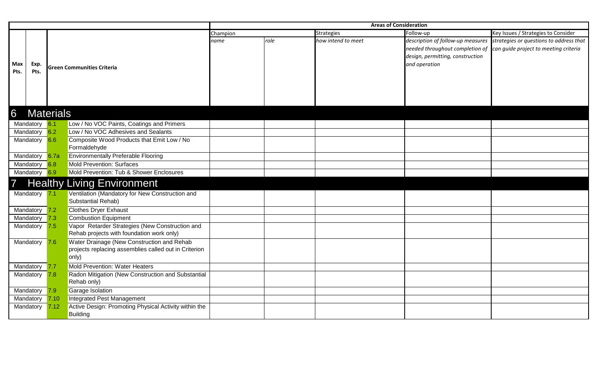|                 |                  |      |                                                       | <b>Areas of Consideration</b> |      |                    |                                  |                                                                           |  |
|-----------------|------------------|------|-------------------------------------------------------|-------------------------------|------|--------------------|----------------------------------|---------------------------------------------------------------------------|--|
|                 |                  |      |                                                       | Champion                      |      | <b>Strategies</b>  | Follow-up                        | Key Issues / Strategies to Consider                                       |  |
|                 |                  |      |                                                       | name                          | role | how intend to meet |                                  | description of follow-up measures strategies or questions to address that |  |
|                 |                  |      |                                                       |                               |      |                    |                                  | needed throughout completion of can guide project to meeting criteria     |  |
|                 |                  |      |                                                       |                               |      |                    | design, permitting, construction |                                                                           |  |
| Max             | Exp.             |      |                                                       |                               |      |                    | and operation                    |                                                                           |  |
| Pts.            | Pts.             |      | <b>Green Communities Criteria</b>                     |                               |      |                    |                                  |                                                                           |  |
|                 |                  |      |                                                       |                               |      |                    |                                  |                                                                           |  |
|                 |                  |      |                                                       |                               |      |                    |                                  |                                                                           |  |
|                 |                  |      |                                                       |                               |      |                    |                                  |                                                                           |  |
|                 |                  |      |                                                       |                               |      |                    |                                  |                                                                           |  |
|                 |                  |      |                                                       |                               |      |                    |                                  |                                                                           |  |
| $6\overline{6}$ | <b>Materials</b> |      |                                                       |                               |      |                    |                                  |                                                                           |  |
|                 | Mandatory 6.1    |      | Low / No VOC Paints, Coatings and Primers             |                               |      |                    |                                  |                                                                           |  |
|                 | Mandatory 6.2    |      | Low / No VOC Adhesives and Sealants                   |                               |      |                    |                                  |                                                                           |  |
|                 | Mandatory 6.6    |      | Composite Wood Products that Emit Low / No            |                               |      |                    |                                  |                                                                           |  |
|                 |                  |      | Formaldehyde                                          |                               |      |                    |                                  |                                                                           |  |
|                 | Mandatory 6.7a   |      | <b>Environmentally Preferable Flooring</b>            |                               |      |                    |                                  |                                                                           |  |
|                 | Mandatory        | 6.8  | <b>Mold Prevention: Surfaces</b>                      |                               |      |                    |                                  |                                                                           |  |
|                 | Mandatory 6.9    |      | Mold Prevention: Tub & Shower Enclosures              |                               |      |                    |                                  |                                                                           |  |
| $\overline{7}$  |                  |      | <b>Healthy Living Environment</b>                     |                               |      |                    |                                  |                                                                           |  |
|                 | Mandatory 7.1    |      | Ventilation (Mandatory for New Construction and       |                               |      |                    |                                  |                                                                           |  |
|                 |                  |      | Substantial Rehab)                                    |                               |      |                    |                                  |                                                                           |  |
|                 | Mandatory        | 7.2  | <b>Clothes Dryer Exhaust</b>                          |                               |      |                    |                                  |                                                                           |  |
|                 | Mandatory        | 7.3  | <b>Combustion Equipment</b>                           |                               |      |                    |                                  |                                                                           |  |
|                 | Mandatory        | 7.5  | Vapor Retarder Strategies (New Construction and       |                               |      |                    |                                  |                                                                           |  |
|                 |                  |      | Rehab projects with foundation work only)             |                               |      |                    |                                  |                                                                           |  |
|                 | Mandatory        | 7.6  | Water Drainage (New Construction and Rehab            |                               |      |                    |                                  |                                                                           |  |
|                 |                  |      | projects replacing assemblies called out in Criterion |                               |      |                    |                                  |                                                                           |  |
|                 |                  |      | only)                                                 |                               |      |                    |                                  |                                                                           |  |
|                 | Mandatory        | 7.7  | Mold Prevention: Water Heaters                        |                               |      |                    |                                  |                                                                           |  |
|                 | Mandatory        | 7.8  | Radon Mitigation (New Construction and Substantial    |                               |      |                    |                                  |                                                                           |  |
|                 |                  |      | Rehab only)                                           |                               |      |                    |                                  |                                                                           |  |
|                 | Mandatory        | 7.9  | Garage Isolation                                      |                               |      |                    |                                  |                                                                           |  |
|                 | Mandatory        | 7.10 | Integrated Pest Management                            |                               |      |                    |                                  |                                                                           |  |
|                 | Mandatory        | 7.12 | Active Design: Promoting Physical Activity within the |                               |      |                    |                                  |                                                                           |  |
|                 |                  |      | <b>Building</b>                                       |                               |      |                    |                                  |                                                                           |  |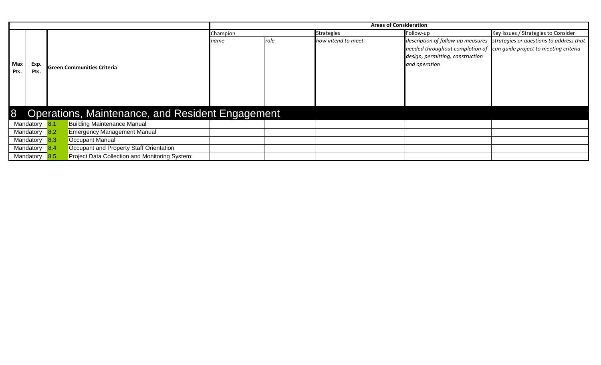|             |           |            |                                                  | <b>Areas of Consideration</b> |                   |                    |                                     |                                                                           |  |
|-------------|-----------|------------|--------------------------------------------------|-------------------------------|-------------------|--------------------|-------------------------------------|---------------------------------------------------------------------------|--|
|             |           |            | Champion                                         |                               | <b>Strategies</b> | Follow-up          | Key Issues / Strategies to Consider |                                                                           |  |
|             |           |            |                                                  | name                          | role              | how intend to meet |                                     | description of follow-up measures strategies or questions to address that |  |
|             |           |            |                                                  |                               |                   |                    |                                     | needed throughout completion of can guide project to meeting criteria     |  |
|             |           |            |                                                  |                               |                   |                    | design, permitting, construction    |                                                                           |  |
| Max<br>Exp. |           |            | Green Communities Criteria                       |                               |                   |                    | and operation                       |                                                                           |  |
| Pts.        | Pts.      |            |                                                  |                               |                   |                    |                                     |                                                                           |  |
|             |           |            |                                                  |                               |                   |                    |                                     |                                                                           |  |
|             |           |            |                                                  |                               |                   |                    |                                     |                                                                           |  |
|             |           |            |                                                  |                               |                   |                    |                                     |                                                                           |  |
|             |           |            |                                                  |                               |                   |                    |                                     |                                                                           |  |
| 8           |           |            | Operations, Maintenance, and Resident Engagement |                               |                   |                    |                                     |                                                                           |  |
|             | Mandatory | 8.1        | <b>Building Maintenance Manual</b>               |                               |                   |                    |                                     |                                                                           |  |
|             | Mandatory | 8.2        | <b>Emergency Management Manual</b>               |                               |                   |                    |                                     |                                                                           |  |
|             | Mandatory | 8.3        | <b>Occupant Manual</b>                           |                               |                   |                    |                                     |                                                                           |  |
|             | Mandatory | <b>8.4</b> | Occupant and Property Staff Orientation          |                               |                   |                    |                                     |                                                                           |  |
|             | Mandatory |            | Project Data Collection and Monitoring System:   |                               |                   |                    |                                     |                                                                           |  |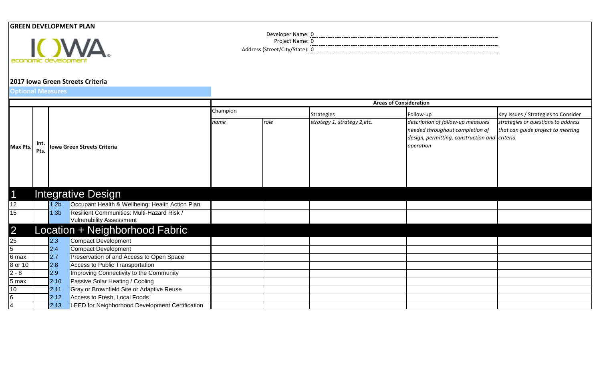## **GREEN DEVELOPMENT PLAN**



**2017 Iowa Green Streets Criteria**

**Optional Measures**

Strategies **Follow-up** Follow-up Key Issues / Strategies to Consider *name role strategy 1, strategy 2,etc. description of follow-up measures needed throughout completion of design, permitting, construction and criteria operation strategies or questions to address that can guide project to meeting*  1 12 | 1.2b Occupant Health & Wellbeing: Health Action Plan 15 1.3b Resilient Communities: Multi-Hazard Risk / Vulnerability Assessment 2 25 2.3 Compact Development 2.4 Compact Development 6 max 2.7 Preservation of and Access to Open Space 8 or 10 2.8 Access to Public Transportation 2 - 8 2.9 Improving Connectivity to the Community 5 max | 2.10 Passive Solar Heating / Cooling 10 2.11 Gray or Brownfield Site or Adaptive Reuse 2.12 Access to Fresh, Local Foods 2.13 **LEED for Neighborhood Development Certification Max Pts. Int. Pts. Iowa Green Streets Criteria** Champion **Areas of Consideration** Location + Neighborhood Fabric Integrative Design

Project Name: 0 Developer Name: 0 0 Address (Street/City/State):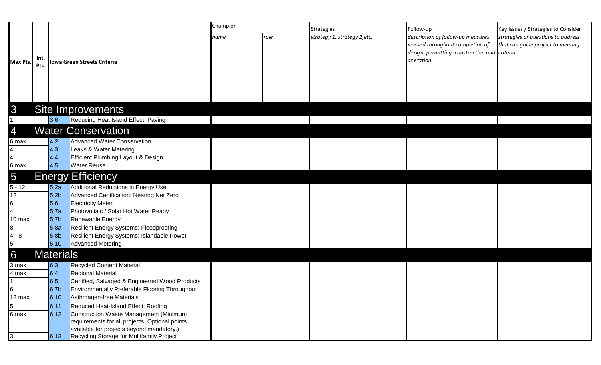|                  |              |                  |                                                                         | Champion |      | <b>Strategies</b>            | Follow-up                                                                                                                          | Key Issues / Strategies to Consider                                     |
|------------------|--------------|------------------|-------------------------------------------------------------------------|----------|------|------------------------------|------------------------------------------------------------------------------------------------------------------------------------|-------------------------------------------------------------------------|
| Max Pts.         | Int.<br>Pts. |                  | Iowa Green Streets Criteria                                             | name     | role | strategy 1, strategy 2, etc. | description of follow-up measures<br>needed throughout completion of<br>design, permitting, construction and criteria<br>operation | strategies or questions to address<br>that can guide project to meeting |
| 3                |              |                  | <b>Site Improvements</b>                                                |          |      |                              |                                                                                                                                    |                                                                         |
|                  |              | 3.6              | Reducing Heat Island Effect: Paving                                     |          |      |                              |                                                                                                                                    |                                                                         |
| $\overline{4}$   |              |                  | <b>Water Conservation</b>                                               |          |      |                              |                                                                                                                                    |                                                                         |
|                  |              |                  |                                                                         |          |      |                              |                                                                                                                                    |                                                                         |
| 6 max            |              | 4.2<br>4.3       | <b>Advanced Water Conservation</b>                                      |          |      |                              |                                                                                                                                    |                                                                         |
|                  |              | 4.4              | Leaks & Water Metering<br><b>Efficient Plumbing Layout &amp; Design</b> |          |      |                              |                                                                                                                                    |                                                                         |
| 6 max            |              | 4.5              | <b>Water Reuse</b>                                                      |          |      |                              |                                                                                                                                    |                                                                         |
|                  |              |                  |                                                                         |          |      |                              |                                                                                                                                    |                                                                         |
| $\overline{5}$   |              |                  | <b>Energy Efficiency</b>                                                |          |      |                              |                                                                                                                                    |                                                                         |
| $5 - 12$         |              | 5.2a             | Additional Reductions in Energy Use                                     |          |      |                              |                                                                                                                                    |                                                                         |
| 12               |              | 5.2 <sub>b</sub> | Advanced Certification: Nearing Net Zero                                |          |      |                              |                                                                                                                                    |                                                                         |
| 6                |              | 5.6              | <b>Electricity Meter</b>                                                |          |      |                              |                                                                                                                                    |                                                                         |
|                  |              | 5.7a             | Photovoltaic / Solar Hot Water Ready                                    |          |      |                              |                                                                                                                                    |                                                                         |
| 10 max           |              | 5.7 <sub>b</sub> | Renewable Energy                                                        |          |      |                              |                                                                                                                                    |                                                                         |
| $\overline{8}$   |              | 5.8a             | <b>Resilient Energy Systems: Floodproofing</b>                          |          |      |                              |                                                                                                                                    |                                                                         |
| $4 - 8$          |              | 5.8 <sub>b</sub> | Resilient Energy Systems: Islandable Power                              |          |      |                              |                                                                                                                                    |                                                                         |
| $\overline{5}$   |              | $5.10$           | <b>Advanced Metering</b>                                                |          |      |                              |                                                                                                                                    |                                                                         |
| 6                |              | <b>Materials</b> |                                                                         |          |      |                              |                                                                                                                                    |                                                                         |
| 3 max            |              | 6.3              | <b>Recycled Content Material</b>                                        |          |      |                              |                                                                                                                                    |                                                                         |
| 4 max            |              | 6.4              | <b>Regional Material</b>                                                |          |      |                              |                                                                                                                                    |                                                                         |
|                  |              | 6.5              | Certified, Salvaged & Engineered Wood Products                          |          |      |                              |                                                                                                                                    |                                                                         |
| 16               |              | 6.7 <sub>b</sub> | <b>Environmentally Preferable Flooring Throughout</b>                   |          |      |                              |                                                                                                                                    |                                                                         |
| $12 \text{ max}$ |              | 6.10             | Asthmagen-free Materials                                                |          |      |                              |                                                                                                                                    |                                                                         |
| $\overline{5}$   |              | 6.11             | Reduced Heat-Island Effect: Roofing                                     |          |      |                              |                                                                                                                                    |                                                                         |
| 6 max            |              | 6.12             | Construction Waste Management (Minimum                                  |          |      |                              |                                                                                                                                    |                                                                         |
|                  |              |                  | requirements for all projects. Optional points                          |          |      |                              |                                                                                                                                    |                                                                         |
|                  |              |                  | available for projects beyond mandatory.)                               |          |      |                              |                                                                                                                                    |                                                                         |
| 3                |              | 6.13             | Recycling Storage for Multifamily Project                               |          |      |                              |                                                                                                                                    |                                                                         |